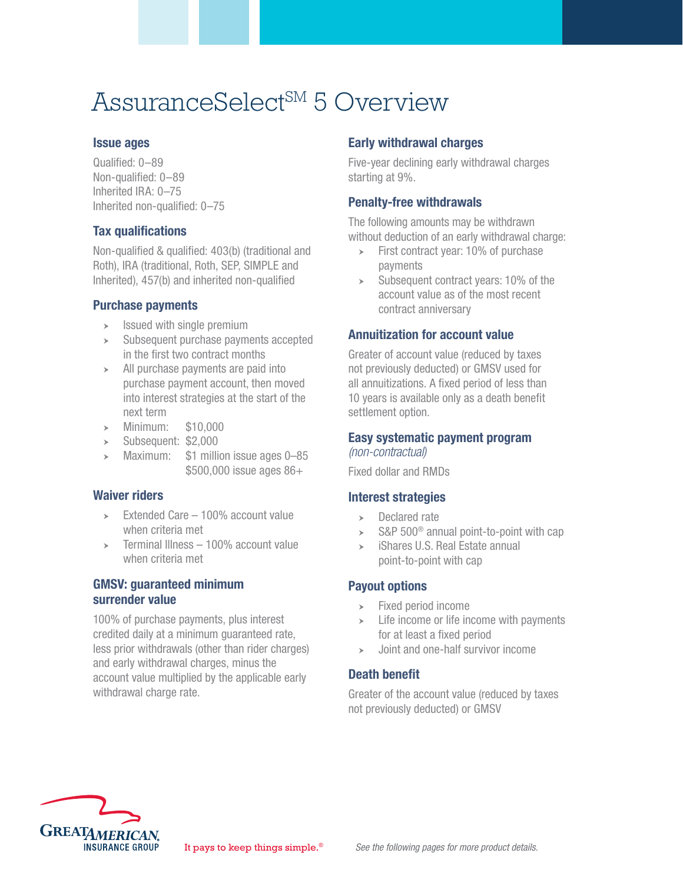# AssuranceSelect<sup>SM</sup> 5 Overview

#### Issue ages

Qualified: 0–89 Non-qualified: 0–89 Inherited IRA: 0–75 Inherited non-qualified: 0–75

#### Tax qualifications

Non-qualified & qualified: 403(b) (traditional and Roth), IRA (traditional, Roth, SEP, SIMPLE and Inherited), 457(b) and inherited non-qualified

#### Purchase payments

- $\geq$  Issued with single premium
- $\geq$  Subsequent purchase payments accepted in the first two contract months
- $\rightarrow$  All purchase payments are paid into purchase payment account, then moved into interest strategies at the start of the next term
- $\rightarrow$  Minimum: \$10,000
- $\blacktriangleright$  Subsequent: \$2,000
- Maximum: \$1 million issue ages 0–85 \$500,000 issue ages 86+

#### Waiver riders

- $\geq$  Extended Care 100% account value when criteria met
- $\geq$  Terminal Illness 100% account value when criteria met

#### GMSV: guaranteed minimum surrender value

100% of purchase payments, plus interest credited daily at a minimum guaranteed rate, less prior withdrawals (other than rider charges) and early withdrawal charges, minus the account value multiplied by the applicable early withdrawal charge rate.

# Early withdrawal charges

Five-year declining early withdrawal charges starting at 9%.

### Penalty-free withdrawals

The following amounts may be withdrawn without deduction of an early withdrawal charge:

- $\triangleright$  First contract year: 10% of purchase payments
- $\geq$  Subsequent contract years: 10% of the account value as of the most recent contract anniversary

# Annuitization for account value

Greater of account value (reduced by taxes not previously deducted) or GMSV used for all annuitizations. A fixed period of less than 10 years is available only as a death benefit settlement option.

# Easy systematic payment program

*(non-contractual)*

Fixed dollar and RMDs

#### Interest strategies

- $\rightarrow$  Declared rate
- $\geq$  S&P 500<sup>®</sup> annual point-to-point with cap
- $\rightarrow$  iShares U.S. Real Estate annual point-to-point with cap

# Payout options

- $\blacktriangleright$  Fixed period income
- $\geq$  Life income or life income with payments for at least a fixed period
- $\rightarrow$  Joint and one-half survivor income

# Death benefit

Greater of the account value (reduced by taxes not previously deducted) or GMSV

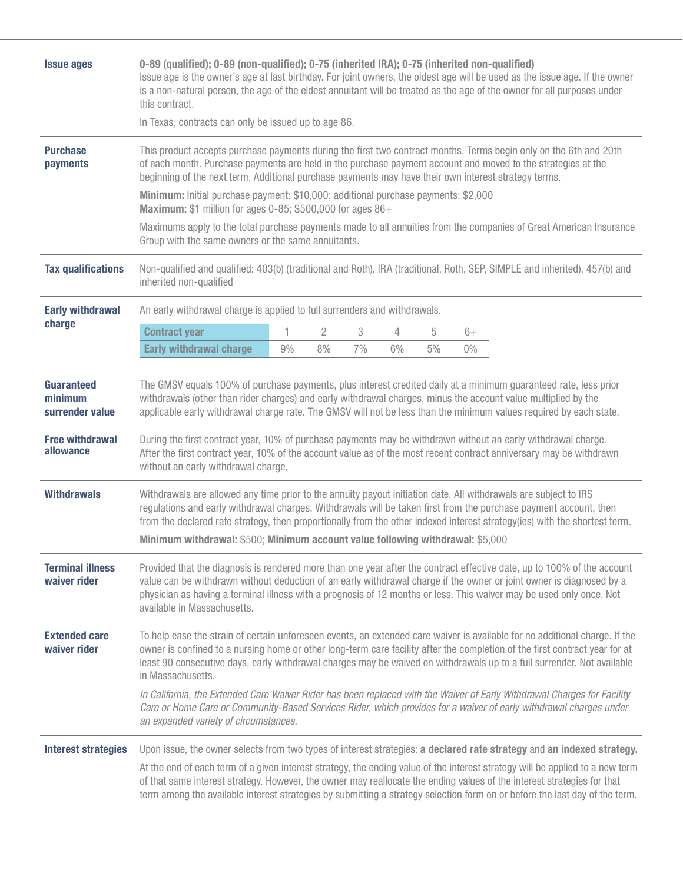| <b>Issue ages</b>                                      | 0-89 (qualified); 0-89 (non-qualified); 0-75 (inherited IRA); 0-75 (inherited non-qualified)<br>Issue age is the owner's age at last birthday. For joint owners, the oldest age will be used as the issue age. If the owner<br>is a non-natural person, the age of the eldest annuitant will be treated as the age of the owner for all purposes under<br>this contract.                                                                                                                                            |    |    |    |    |    |       |  |  |  |
|--------------------------------------------------------|---------------------------------------------------------------------------------------------------------------------------------------------------------------------------------------------------------------------------------------------------------------------------------------------------------------------------------------------------------------------------------------------------------------------------------------------------------------------------------------------------------------------|----|----|----|----|----|-------|--|--|--|
|                                                        | In Texas, contracts can only be issued up to age 86.                                                                                                                                                                                                                                                                                                                                                                                                                                                                |    |    |    |    |    |       |  |  |  |
| <b>Purchase</b><br>payments                            | This product accepts purchase payments during the first two contract months. Terms begin only on the 6th and 20th<br>of each month. Purchase payments are held in the purchase payment account and moved to the strategies at the<br>beginning of the next term. Additional purchase payments may have their own interest strategy terms.                                                                                                                                                                           |    |    |    |    |    |       |  |  |  |
|                                                        | Minimum: Initial purchase payment: \$10,000; additional purchase payments: \$2,000<br>Maximum: \$1 million for ages 0-85; \$500,000 for ages 86+                                                                                                                                                                                                                                                                                                                                                                    |    |    |    |    |    |       |  |  |  |
|                                                        | Maximums apply to the total purchase payments made to all annuities from the companies of Great American Insurance<br>Group with the same owners or the same annuitants.                                                                                                                                                                                                                                                                                                                                            |    |    |    |    |    |       |  |  |  |
| <b>Tax qualifications</b>                              | Non-qualified and qualified: 403(b) (traditional and Roth), IRA (traditional, Roth, SEP, SIMPLE and inherited), 457(b) and<br>inherited non-qualified                                                                                                                                                                                                                                                                                                                                                               |    |    |    |    |    |       |  |  |  |
| <b>Early withdrawal</b><br>charge                      | An early withdrawal charge is applied to full surrenders and withdrawals.                                                                                                                                                                                                                                                                                                                                                                                                                                           |    |    |    |    |    |       |  |  |  |
|                                                        | <b>Contract year</b>                                                                                                                                                                                                                                                                                                                                                                                                                                                                                                | 1  | 2  | 3  | 4  | 5  | $6+$  |  |  |  |
|                                                        | <b>Early withdrawal charge</b>                                                                                                                                                                                                                                                                                                                                                                                                                                                                                      | 9% | 8% | 7% | 6% | 5% | $0\%$ |  |  |  |
| surrender value<br><b>Free withdrawal</b><br>allowance | withdrawals (other than rider charges) and early withdrawal charges, minus the account value multiplied by the<br>applicable early withdrawal charge rate. The GMSV will not be less than the minimum values required by each state.<br>During the first contract year, 10% of purchase payments may be withdrawn without an early withdrawal charge.<br>After the first contract year, 10% of the account value as of the most recent contract anniversary may be withdrawn<br>without an early withdrawal charge. |    |    |    |    |    |       |  |  |  |
| <b>Withdrawals</b>                                     | Withdrawals are allowed any time prior to the annuity payout initiation date. All withdrawals are subject to IRS<br>regulations and early withdrawal charges. Withdrawals will be taken first from the purchase payment account, then<br>from the declared rate strategy, then proportionally from the other indexed interest strategy(ies) with the shortest term.<br>Minimum withdrawal: \$500; Minimum account value following withdrawal: \$5,000                                                               |    |    |    |    |    |       |  |  |  |
| <b>Terminal illness</b><br>waiver rider                | Provided that the diagnosis is rendered more than one year after the contract effective date, up to 100% of the account<br>value can be withdrawn without deduction of an early withdrawal charge if the owner or joint owner is diagnosed by a<br>physician as having a terminal illness with a prognosis of 12 months or less. This waiver may be used only once. Not<br>available in Massachusetts.                                                                                                              |    |    |    |    |    |       |  |  |  |
| <b>Extended care</b><br>waiver rider                   | To help ease the strain of certain unforeseen events, an extended care waiver is available for no additional charge. If the<br>owner is confined to a nursing home or other long-term care facility after the completion of the first contract year for at<br>least 90 consecutive days, early withdrawal charges may be waived on withdrawals up to a full surrender. Not available<br>in Massachusetts.                                                                                                           |    |    |    |    |    |       |  |  |  |
|                                                        | In California, the Extended Care Waiver Rider has been replaced with the Waiver of Early Withdrawal Charges for Facility<br>Care or Home Care or Community-Based Services Rider, which provides for a waiver of early withdrawal charges under<br>an expanded variety of circumstances.                                                                                                                                                                                                                             |    |    |    |    |    |       |  |  |  |
| <b>Interest strategies</b>                             | Upon issue, the owner selects from two types of interest strategies: a declared rate strategy and an indexed strategy.                                                                                                                                                                                                                                                                                                                                                                                              |    |    |    |    |    |       |  |  |  |
|                                                        | At the end of each term of a given interest strategy, the ending value of the interest strategy will be applied to a new term<br>of that same interest strategy. However, the owner may reallocate the ending values of the interest strategies for that<br>term among the available interest strategies by submitting a strategy selection form on or before the last day of the term.                                                                                                                             |    |    |    |    |    |       |  |  |  |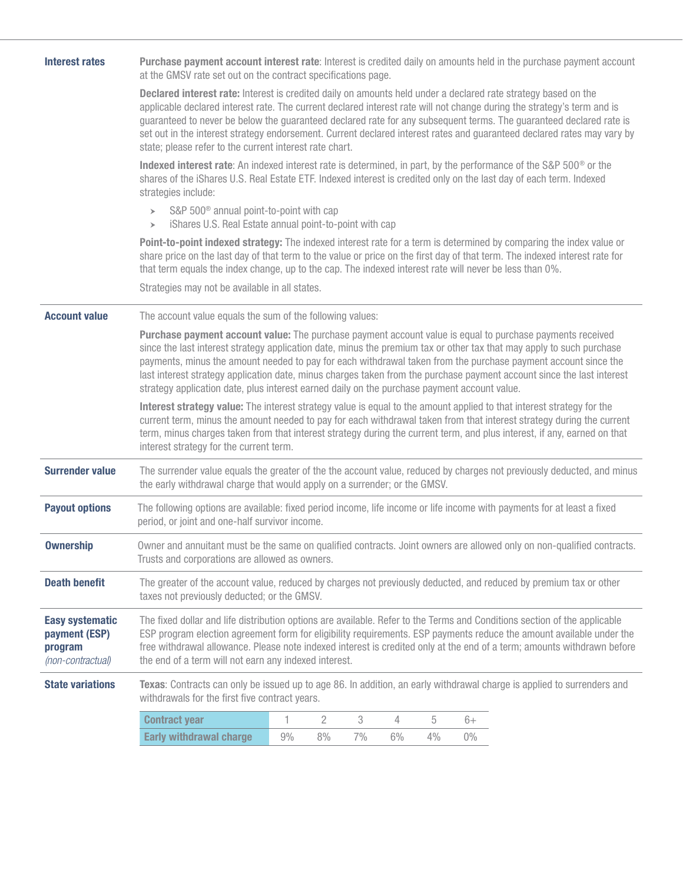| <b>Interest rates</b>                                                   | Purchase payment account interest rate: Interest is credited daily on amounts held in the purchase payment account<br>at the GMSV rate set out on the contract specifications page.                                                                                                                                                                                                                                                                                                                                                                                            |  |  |  |  |  |  |  |  |  |
|-------------------------------------------------------------------------|--------------------------------------------------------------------------------------------------------------------------------------------------------------------------------------------------------------------------------------------------------------------------------------------------------------------------------------------------------------------------------------------------------------------------------------------------------------------------------------------------------------------------------------------------------------------------------|--|--|--|--|--|--|--|--|--|
|                                                                         | Declared interest rate: Interest is credited daily on amounts held under a declared rate strategy based on the<br>applicable declared interest rate. The current declared interest rate will not change during the strategy's term and is<br>guaranteed to never be below the guaranteed declared rate for any subsequent terms. The guaranteed declared rate is<br>set out in the interest strategy endorsement. Current declared interest rates and guaranteed declared rates may vary by<br>state; please refer to the current interest rate chart.                         |  |  |  |  |  |  |  |  |  |
|                                                                         | Indexed interest rate: An indexed interest rate is determined, in part, by the performance of the S&P 500 <sup>®</sup> or the<br>shares of the iShares U.S. Real Estate ETF. Indexed interest is credited only on the last day of each term. Indexed<br>strategies include:                                                                                                                                                                                                                                                                                                    |  |  |  |  |  |  |  |  |  |
|                                                                         | S&P 500 <sup>®</sup> annual point-to-point with cap<br>$\geq$<br>iShares U.S. Real Estate annual point-to-point with cap<br>$\rightarrow$                                                                                                                                                                                                                                                                                                                                                                                                                                      |  |  |  |  |  |  |  |  |  |
|                                                                         | Point-to-point indexed strategy: The indexed interest rate for a term is determined by comparing the index value or<br>share price on the last day of that term to the value or price on the first day of that term. The indexed interest rate for<br>that term equals the index change, up to the cap. The indexed interest rate will never be less than 0%.                                                                                                                                                                                                                  |  |  |  |  |  |  |  |  |  |
|                                                                         | Strategies may not be available in all states.                                                                                                                                                                                                                                                                                                                                                                                                                                                                                                                                 |  |  |  |  |  |  |  |  |  |
| <b>Account value</b>                                                    | The account value equals the sum of the following values:                                                                                                                                                                                                                                                                                                                                                                                                                                                                                                                      |  |  |  |  |  |  |  |  |  |
|                                                                         | Purchase payment account value: The purchase payment account value is equal to purchase payments received<br>since the last interest strategy application date, minus the premium tax or other tax that may apply to such purchase<br>payments, minus the amount needed to pay for each withdrawal taken from the purchase payment account since the<br>last interest strategy application date, minus charges taken from the purchase payment account since the last interest<br>strategy application date, plus interest earned daily on the purchase payment account value. |  |  |  |  |  |  |  |  |  |
|                                                                         | Interest strategy value: The interest strategy value is equal to the amount applied to that interest strategy for the<br>current term, minus the amount needed to pay for each withdrawal taken from that interest strategy during the current<br>term, minus charges taken from that interest strategy during the current term, and plus interest, if any, earned on that<br>interest strategy for the current term.                                                                                                                                                          |  |  |  |  |  |  |  |  |  |
| <b>Surrender value</b>                                                  | The surrender value equals the greater of the the account value, reduced by charges not previously deducted, and minus<br>the early withdrawal charge that would apply on a surrender; or the GMSV.                                                                                                                                                                                                                                                                                                                                                                            |  |  |  |  |  |  |  |  |  |
| <b>Payout options</b>                                                   | The following options are available: fixed period income, life income or life income with payments for at least a fixed<br>period, or joint and one-half survivor income.                                                                                                                                                                                                                                                                                                                                                                                                      |  |  |  |  |  |  |  |  |  |
| <b>Ownership</b>                                                        | Owner and annuitant must be the same on qualified contracts. Joint owners are allowed only on non-qualified contracts.<br>Trusts and corporations are allowed as owners.                                                                                                                                                                                                                                                                                                                                                                                                       |  |  |  |  |  |  |  |  |  |
| <b>Death benefit</b>                                                    | The greater of the account value, reduced by charges not previously deducted, and reduced by premium tax or other<br>taxes not previously deducted; or the GMSV.                                                                                                                                                                                                                                                                                                                                                                                                               |  |  |  |  |  |  |  |  |  |
| <b>Easy systematic</b><br>payment (ESP)<br>program<br>(non-contractual) | The fixed dollar and life distribution options are available. Refer to the Terms and Conditions section of the applicable<br>ESP program election agreement form for eligibility requirements. ESP payments reduce the amount available under the<br>free withdrawal allowance. Please note indexed interest is credited only at the end of a term; amounts withdrawn before<br>the end of a term will not earn any indexed interest.                                                                                                                                          |  |  |  |  |  |  |  |  |  |
| <b>State variations</b>                                                 | Texas: Contracts can only be issued up to age 86. In addition, an early withdrawal charge is applied to surrenders and<br>withdrawals for the first five contract years.                                                                                                                                                                                                                                                                                                                                                                                                       |  |  |  |  |  |  |  |  |  |
|                                                                         | 1<br>2<br>3<br><b>Contract year</b><br>4<br>5<br>$6+$                                                                                                                                                                                                                                                                                                                                                                                                                                                                                                                          |  |  |  |  |  |  |  |  |  |
|                                                                         | <b>Early withdrawal charge</b><br>9%<br>8%<br>7%<br>6%<br>4%<br>$0\%$                                                                                                                                                                                                                                                                                                                                                                                                                                                                                                          |  |  |  |  |  |  |  |  |  |